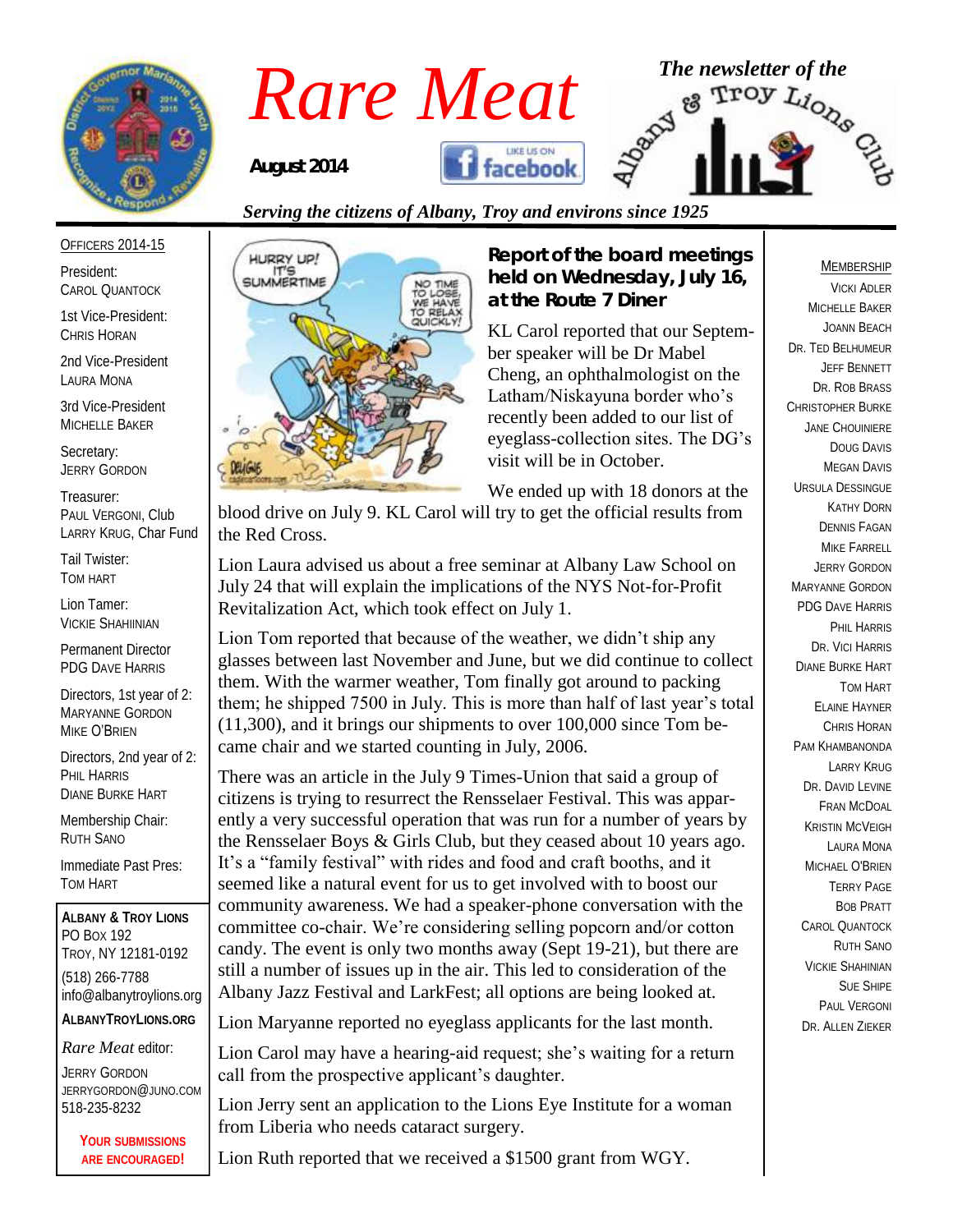

# *Rare Meat* <sup>The newsletter of the service</sup> of the service of the service of the service of the service of the service  $\frac{1}{2}$

*August 2014* 



### *Serving the citizens of Albany, Troy and environs since 1925*

OFFICERS 2014-15

President: CAROL QUANTOCK

1st Vice-President: CHRIS HORAN

2nd Vice-President LAURA MONA

3rd Vice-President MICHELLE BAKER

Secretary: JERRY GORDON

Treasurer: PAUL VERGONI, Club LARRY KRUG, Char Fund

Tail Twister: TOM HART

Lion Tamer: VICKIE SHAHIINIAN

Permanent Director PDG DAVE HARRIS

Directors, 1st year of 2: MARYANNE GORDON MIKE O'BRIEN

Directors, 2nd year of 2: PHIL HARRIS DIANE BURKE HART

Membership Chair: RUTH SANO

Immediate Past Pres: TOM HART

**ALBANY & TROY LIONS** PO BOX 192 TROY, NY 12181-0192 (518) 266-7788 info@albanytroylions.org **ALBANYTROYLIONS.ORG**

*Rare Meat* editor:

JERRY GORDON JERRYGORDON@JUNO.COM 518-235-8232

> **YOUR SUBMISSIONS ARE ENCOURAGED!**



*Report of the board meetings held on Wednesday, July 16, at the Route 7 Diner* 

KL Carol reported that our September speaker will be Dr Mabel Cheng, an ophthalmologist on the Latham/Niskayuna border who's recently been added to our list of eyeglass-collection sites. The DG's visit will be in October.

We ended up with 18 donors at the

blood drive on July 9. KL Carol will try to get the official results from the Red Cross.

Lion Laura advised us about a free seminar at Albany Law School on July 24 that will explain the implications of the NYS Not-for-Profit Revitalization Act, which took effect on July 1.

Lion Tom reported that because of the weather, we didn't ship any glasses between last November and June, but we did continue to collect them. With the warmer weather, Tom finally got around to packing them; he shipped 7500 in July. This is more than half of last year's total (11,300), and it brings our shipments to over 100,000 since Tom became chair and we started counting in July, 2006.

There was an article in the July 9 Times-Union that said a group of citizens is trying to resurrect the Rensselaer Festival. This was apparently a very successful operation that was run for a number of years by the Rensselaer Boys & Girls Club, but they ceased about 10 years ago. It's a "family festival" with rides and food and craft booths, and it seemed like a natural event for us to get involved with to boost our community awareness. We had a speaker-phone conversation with the committee co-chair. We're considering selling popcorn and/or cotton candy. The event is only two months away (Sept 19-21), but there are still a number of issues up in the air. This led to consideration of the Albany Jazz Festival and LarkFest; all options are being looked at.

Lion Maryanne reported no eyeglass applicants for the last month.

Lion Carol may have a hearing-aid request; she's waiting for a return call from the prospective applicant's daughter.

Lion Jerry sent an application to the Lions Eye Institute for a woman from Liberia who needs cataract surgery.

Lion Ruth reported that we received a \$1500 grant from WGY.

#### MEMBERSHIP

VICKI ADLER MICHELLE BAKER JOANN BEACH DR. TED BELHUMEUR JEFF BENNETT DR. ROB BRASS CHRISTOPHER BURKE JANE CHOUINIERE DOUG DAVIS MEGAN DAVIS URSULA DESSINGUE KATHY DORN DENNIS FAGAN MIKE FARRELL JERRY GORDON MARYANNE GORDON PDG DAVE HARRIS PHIL HARRIS DR. VICI HARRIS DIANE BURKE HART TOM HART ELAINE HAYNER CHRIS HORAN PAM KHAMBANONDA LARRY KRUG DR. DAVID LEVINE FRAN MCDOAL KRISTIN MCVEIGH LAURA MONA MICHAEL O'BRIEN TERRY PAGE BOB PRATT CAROL QUANTOCK RUTH SANO VICKIE SHAHINIAN

SUE SHIPE PAUL VERGONI DR. ALLEN ZIEKER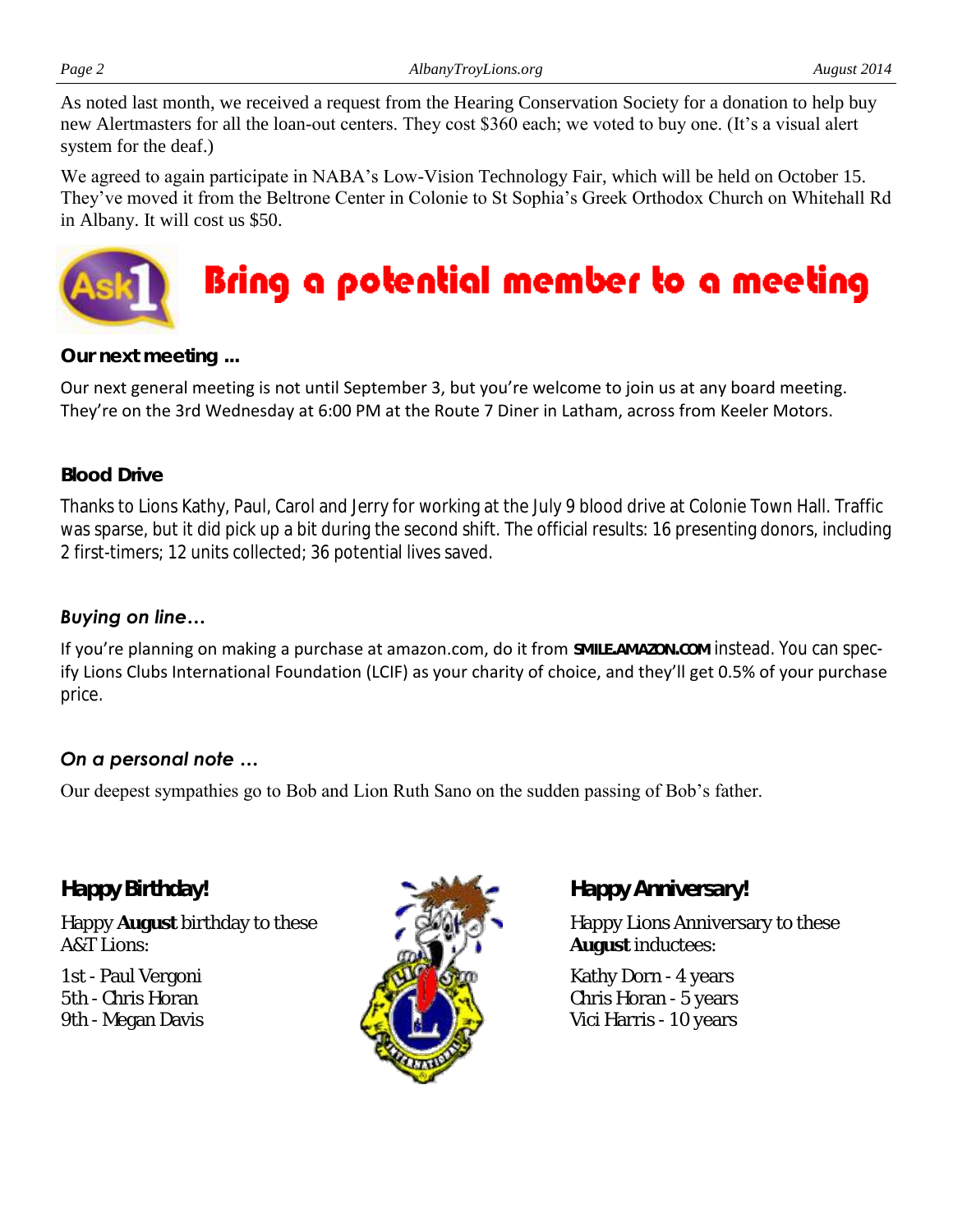As noted last month, we received a request from the Hearing Conservation Society for a donation to help buy new Alertmasters for all the loan-out centers. They cost \$360 each; we voted to buy one. (It's a visual alert system for the deaf.)

We agreed to again participate in NABA's Low-Vision Technology Fair, which will be held on October 15. They've moved it from the Beltrone Center in Colonie to St Sophia's Greek Orthodox Church on Whitehall Rd in Albany. It will cost us \$50.



## Bring a potential member to a meeting

*Our next meeting ...*

Our next general meeting is not until September 3, but you're welcome to join us at any board meeting. They're on the 3rd Wednesday at 6:00 PM at the Route 7 Diner in Latham, across from Keeler Motors.

#### *Blood Drive*

Thanks to Lions Kathy, Paul, Carol and Jerry for working at the July 9 blood drive at Colonie Town Hall. Traffic was sparse, but it did pick up a bit during the second shift. The official results: 16 presenting donors, including 2 first-timers; 12 units collected; 36 potential lives saved.

#### *Buying on line…*

If you're planning on making a purchase at amazon.com, do it from **SMILE.AMAZON.COM** instead. You can specify Lions Clubs International Foundation (LCIF) as your charity of choice, and they'll get 0.5% of your purchase price.

#### *On a personal note …*

Our deepest sympathies go to Bob and Lion Ruth Sano on the sudden passing of Bob's father.

#### *Happy Birthday!*

Happy **August** birthday to these A&T Lions:

1st - Paul Vergoni 5th - Chris Horan 9th - Megan Davis



#### *Happy Anniversary!*

Happy Lions Anniversary to these **August** inductees:

Kathy Dorn - 4 years Chris Horan - 5 years Vici Harris - 10 years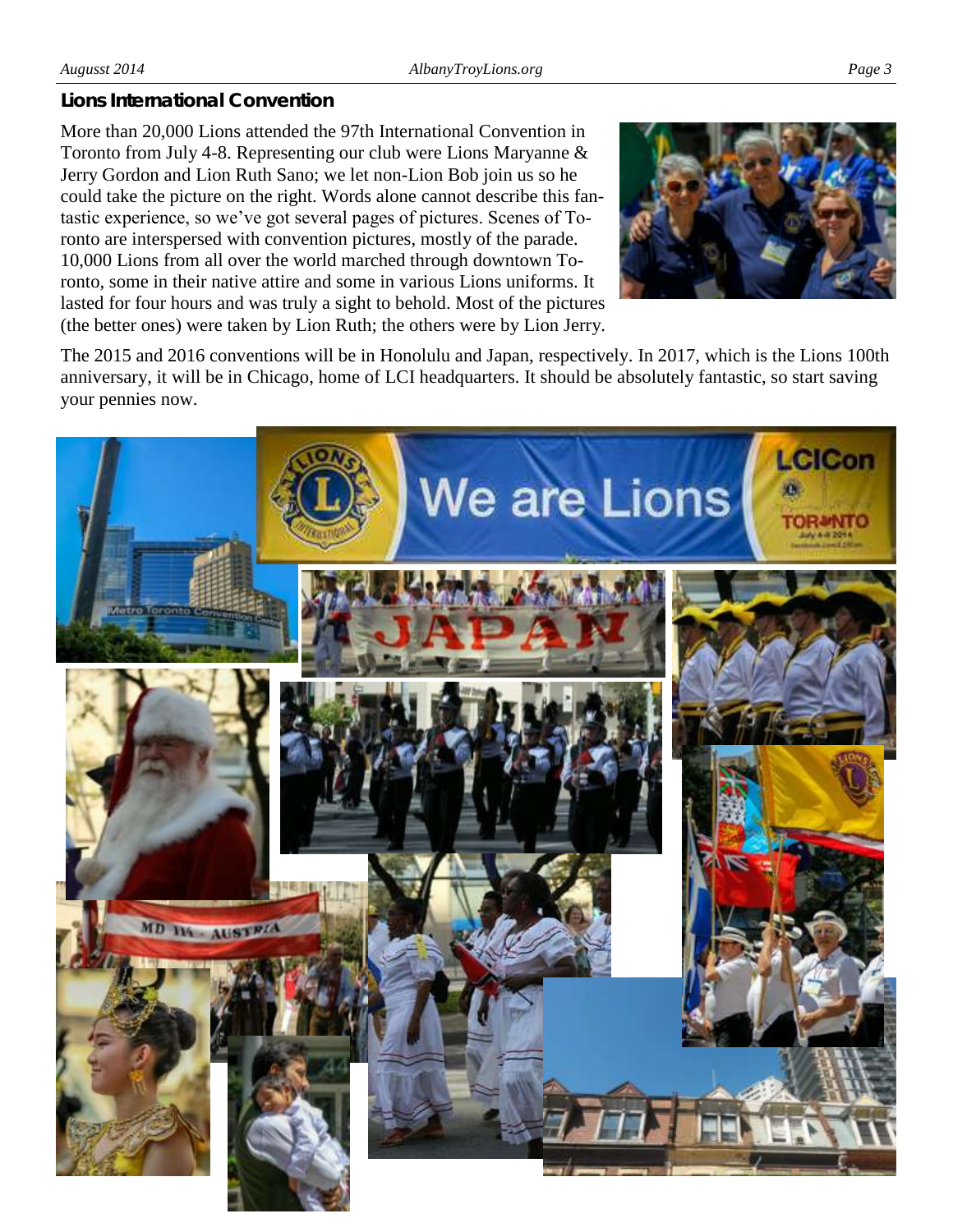#### *Lions International Convention*

More than 20,000 Lions attended the 97th International Convention in Toronto from July 4-8. Representing our club were Lions Maryanne & Jerry Gordon and Lion Ruth Sano; we let non-Lion Bob join us so he could take the picture on the right. Words alone cannot describe this fantastic experience, so we've got several pages of pictures. Scenes of Toronto are interspersed with convention pictures, mostly of the parade. 10,000 Lions from all over the world marched through downtown Toronto, some in their native attire and some in various Lions uniforms. It lasted for four hours and was truly a sight to behold. Most of the pictures (the better ones) were taken by Lion Ruth; the others were by Lion Jerry.



The 2015 and 2016 conventions will be in Honolulu and Japan, respectively. In 2017, which is the Lions 100th anniversary, it will be in Chicago, home of LCI headquarters. It should be absolutely fantastic, so start saving your pennies now.

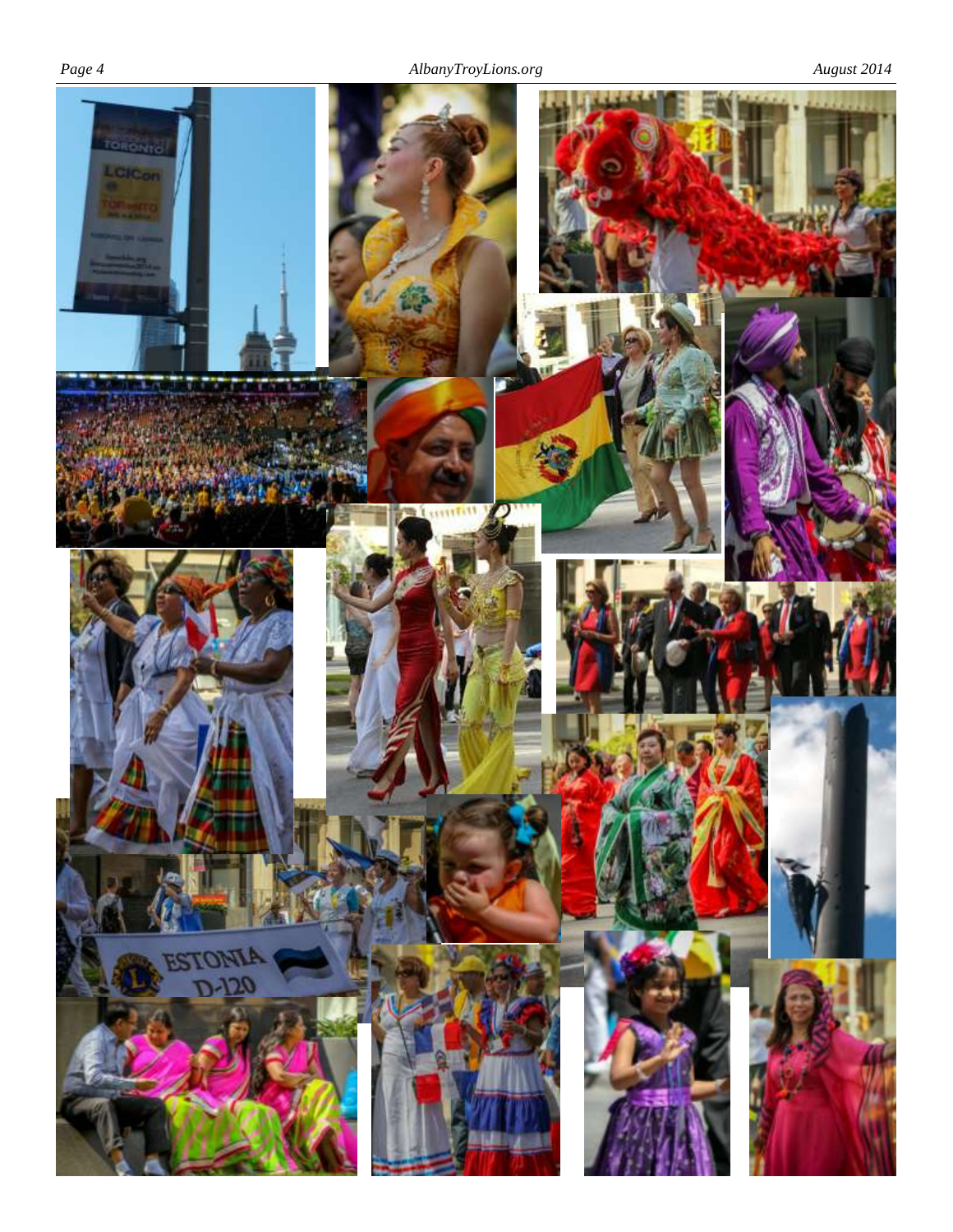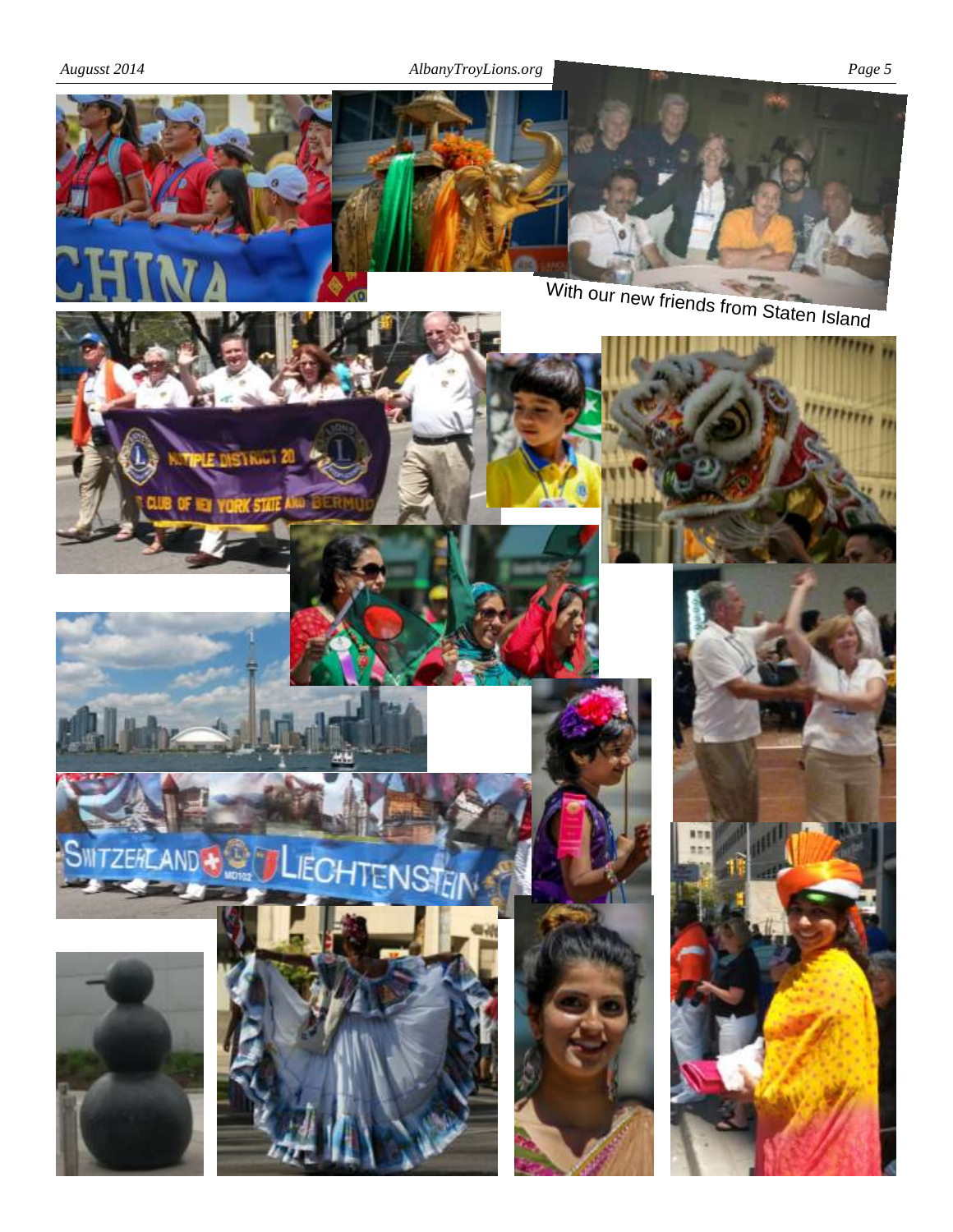